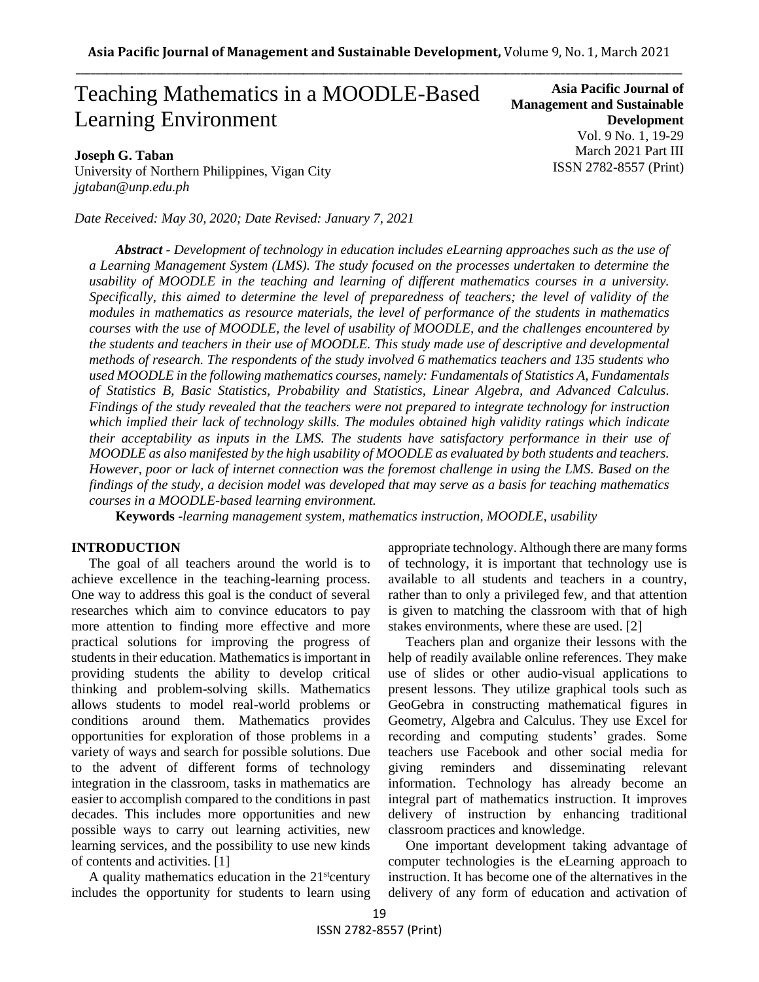# Teaching Mathematics in a MOODLE-Based Learning Environment

## **Joseph G. Taban**

University of Northern Philippines, Vigan City *jgtaban@unp.edu.ph*

*Date Received: May 30, 2020; Date Revised: January 7, 2021*

**Asia Pacific Journal of Management and Sustainable Development**  Vol. 9 No. 1, 19-29 March 2021 Part III ISSN 2782-8557 (Print)

*Abstract - Development of technology in education includes eLearning approaches such as the use of a Learning Management System (LMS). The study focused on the processes undertaken to determine the usability of MOODLE in the teaching and learning of different mathematics courses in a university. Specifically, this aimed to determine the level of preparedness of teachers; the level of validity of the modules in mathematics as resource materials, the level of performance of the students in mathematics courses with the use of MOODLE, the level of usability of MOODLE, and the challenges encountered by the students and teachers in their use of MOODLE. This study made use of descriptive and developmental methods of research. The respondents of the study involved 6 mathematics teachers and 135 students who used MOODLE in the following mathematics courses, namely: Fundamentals of Statistics A, Fundamentals of Statistics B, Basic Statistics, Probability and Statistics, Linear Algebra, and Advanced Calculus. Findings of the study revealed that the teachers were not prepared to integrate technology for instruction which implied their lack of technology skills. The modules obtained high validity ratings which indicate their acceptability as inputs in the LMS. The students have satisfactory performance in their use of MOODLE as also manifested by the high usability of MOODLE as evaluated by both students and teachers. However, poor or lack of internet connection was the foremost challenge in using the LMS. Based on the findings of the study, a decision model was developed that may serve as a basis for teaching mathematics courses in a MOODLE-based learning environment.* 

**Keywords** -*learning management system, mathematics instruction, MOODLE, usability*

#### **INTRODUCTION**

The goal of all teachers around the world is to achieve excellence in the teaching-learning process. One way to address this goal is the conduct of several researches which aim to convince educators to pay more attention to finding more effective and more practical solutions for improving the progress of students in their education. Mathematics is important in providing students the ability to develop critical thinking and problem-solving skills. Mathematics allows students to model real-world problems or conditions around them. Mathematics provides opportunities for exploration of those problems in a variety of ways and search for possible solutions. Due to the advent of different forms of technology integration in the classroom, tasks in mathematics are easier to accomplish compared to the conditions in past decades. This includes more opportunities and new possible ways to carry out learning activities, new learning services, and the possibility to use new kinds of contents and activities. [1]

A quality mathematics education in the  $21<sup>st</sup>$ century includes the opportunity for students to learn using

appropriate technology. Although there are many forms of technology, it is important that technology use is available to all students and teachers in a country, rather than to only a privileged few, and that attention is given to matching the classroom with that of high stakes environments, where these are used. [2]

Teachers plan and organize their lessons with the help of readily available online references. They make use of slides or other audio-visual applications to present lessons. They utilize graphical tools such as GeoGebra in constructing mathematical figures in Geometry, Algebra and Calculus. They use Excel for recording and computing students' grades. Some teachers use Facebook and other social media for giving reminders and disseminating relevant information. Technology has already become an integral part of mathematics instruction. It improves delivery of instruction by enhancing traditional classroom practices and knowledge.

One important development taking advantage of computer technologies is the eLearning approach to instruction. It has become one of the alternatives in the delivery of any form of education and activation of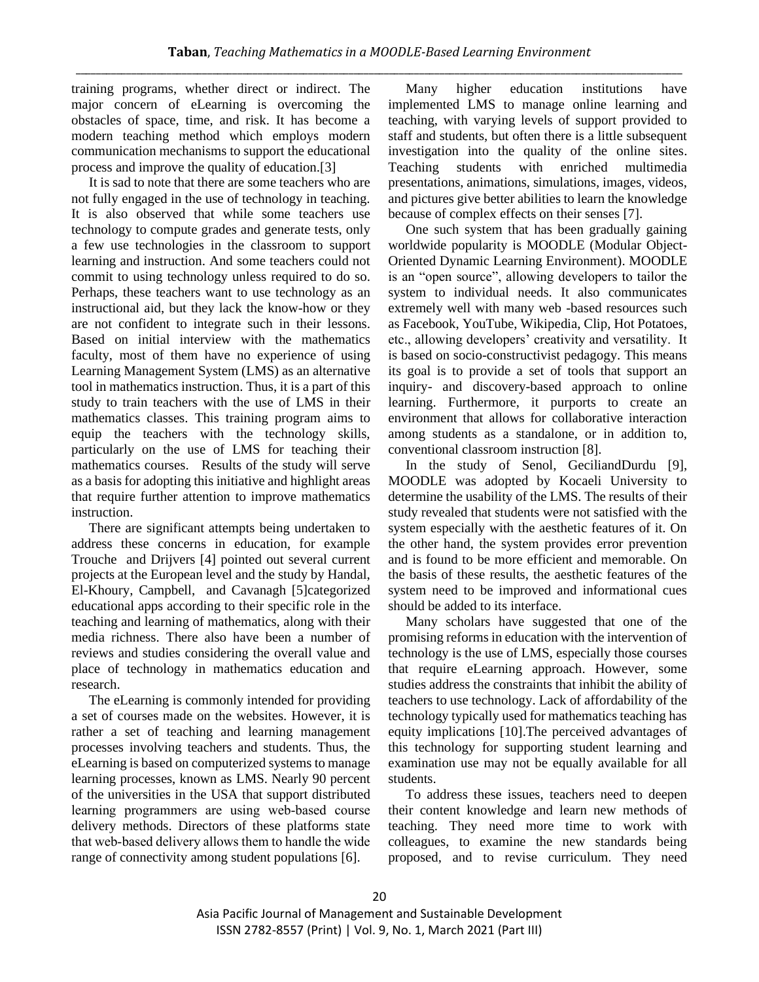training programs, whether direct or indirect. The major concern of eLearning is overcoming the obstacles of space, time, and risk. It has become a modern teaching method which employs modern communication mechanisms to support the educational process and improve the quality of education.[3]

It is sad to note that there are some teachers who are not fully engaged in the use of technology in teaching. It is also observed that while some teachers use technology to compute grades and generate tests, only a few use technologies in the classroom to support learning and instruction. And some teachers could not commit to using technology unless required to do so. Perhaps, these teachers want to use technology as an instructional aid, but they lack the know-how or they are not confident to integrate such in their lessons. Based on initial interview with the mathematics faculty, most of them have no experience of using Learning Management System (LMS) as an alternative tool in mathematics instruction. Thus, it is a part of this study to train teachers with the use of LMS in their mathematics classes. This training program aims to equip the teachers with the technology skills, particularly on the use of LMS for teaching their mathematics courses. Results of the study will serve as a basis for adopting this initiative and highlight areas that require further attention to improve mathematics instruction.

There are significant attempts being undertaken to address these concerns in education, for example Trouche and Drijvers [4] pointed out several current projects at the European level and the study by Handal, El-Khoury, Campbell, and Cavanagh [5]categorized educational apps according to their specific role in the teaching and learning of mathematics, along with their media richness. There also have been a number of reviews and studies considering the overall value and place of technology in mathematics education and research.

The eLearning is commonly intended for providing a set of courses made on the websites. However, it is rather a set of teaching and learning management processes involving teachers and students. Thus, the eLearning is based on computerized systems to manage learning processes, known as LMS. Nearly 90 percent of the universities in the USA that support distributed learning programmers are using web‐based course delivery methods. Directors of these platforms state that web‐based delivery allows them to handle the wide range of connectivity among student populations [6].

Many higher education institutions have implemented LMS to manage online learning and teaching, with varying levels of support provided to staff and students, but often there is a little subsequent investigation into the quality of the online sites. Teaching students with enriched multimedia presentations, animations, simulations, images, videos, and pictures give better abilities to learn the knowledge because of complex effects on their senses [7].

One such system that has been gradually gaining worldwide popularity is MOODLE (Modular Object-Oriented Dynamic Learning Environment). MOODLE is an "open source", allowing developers to tailor the system to individual needs. It also communicates extremely well with many web -based resources such as Facebook, YouTube, Wikipedia, Clip, Hot Potatoes, etc., allowing developers' creativity and versatility. It is based on socio-constructivist pedagogy. This means its goal is to provide a set of tools that support an inquiry- and discovery-based approach to online learning. Furthermore, it purports to create an environment that allows for collaborative interaction among students as a standalone, or in addition to, conventional classroom instruction [8].

In the study of Senol, GeciliandDurdu [9], MOODLE was adopted by Kocaeli University to determine the usability of the LMS. The results of their study revealed that students were not satisfied with the system especially with the aesthetic features of it. On the other hand, the system provides error prevention and is found to be more efficient and memorable. On the basis of these results, the aesthetic features of the system need to be improved and informational cues should be added to its interface.

Many scholars have suggested that one of the promising reforms in education with the intervention of technology is the use of LMS, especially those courses that require eLearning approach. However, some studies address the constraints that inhibit the ability of teachers to use technology. Lack of affordability of the technology typically used for mathematics teaching has equity implications [10].The perceived advantages of this technology for supporting student learning and examination use may not be equally available for all students.

To address these issues, teachers need to deepen their content knowledge and learn new methods of teaching. They need more time to work with colleagues, to examine the new standards being proposed, and to revise curriculum. They need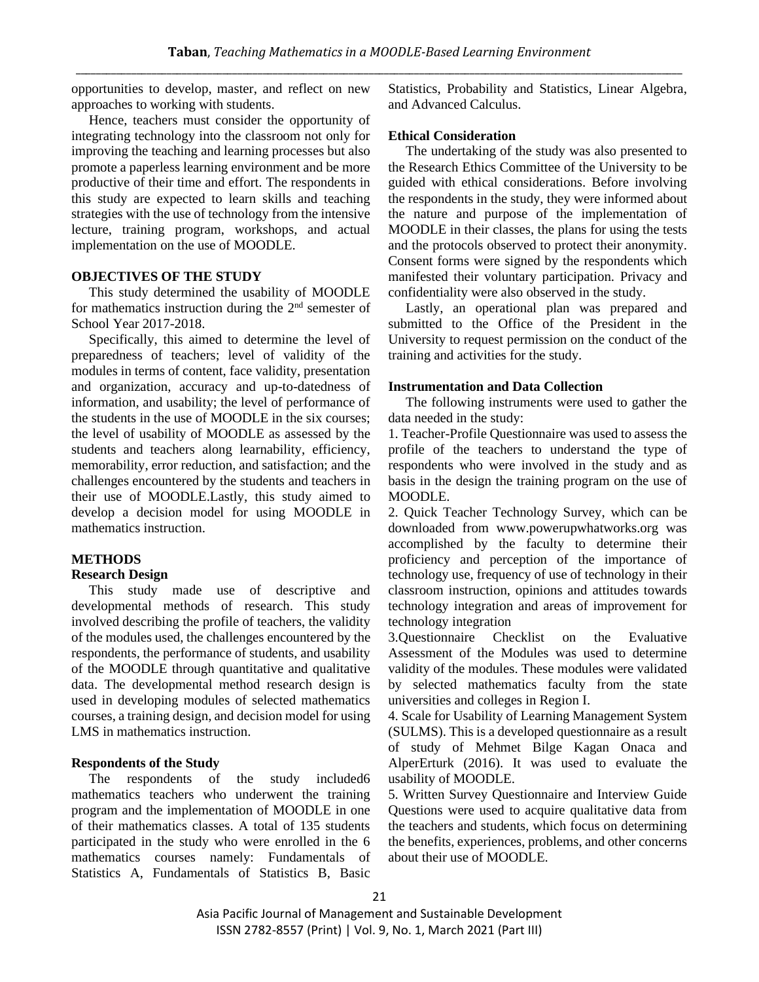opportunities to develop, master, and reflect on new approaches to working with students.

Hence, teachers must consider the opportunity of integrating technology into the classroom not only for improving the teaching and learning processes but also promote a paperless learning environment and be more productive of their time and effort. The respondents in this study are expected to learn skills and teaching strategies with the use of technology from the intensive lecture, training program, workshops, and actual implementation on the use of MOODLE.

## **OBJECTIVES OF THE STUDY**

This study determined the usability of MOODLE for mathematics instruction during the  $2<sup>nd</sup>$  semester of School Year 2017-2018.

Specifically, this aimed to determine the level of preparedness of teachers; level of validity of the modules in terms of content, face validity, presentation and organization, accuracy and up-to-datedness of information, and usability; the level of performance of the students in the use of MOODLE in the six courses; the level of usability of MOODLE as assessed by the students and teachers along learnability, efficiency, memorability, error reduction, and satisfaction; and the challenges encountered by the students and teachers in their use of MOODLE.Lastly, this study aimed to develop a decision model for using MOODLE in mathematics instruction.

# **METHODS**

# **Research Design**

This study made use of descriptive and developmental methods of research. This study involved describing the profile of teachers, the validity of the modules used, the challenges encountered by the respondents, the performance of students, and usability of the MOODLE through quantitative and qualitative data. The developmental method research design is used in developing modules of selected mathematics courses, a training design, and decision model for using LMS in mathematics instruction.

#### **Respondents of the Study**

The respondents of the study included6 mathematics teachers who underwent the training program and the implementation of MOODLE in one of their mathematics classes. A total of 135 students participated in the study who were enrolled in the 6 mathematics courses namely: Fundamentals of Statistics A, Fundamentals of Statistics B, Basic Statistics, Probability and Statistics, Linear Algebra, and Advanced Calculus.

# **Ethical Consideration**

The undertaking of the study was also presented to the Research Ethics Committee of the University to be guided with ethical considerations. Before involving the respondents in the study, they were informed about the nature and purpose of the implementation of MOODLE in their classes, the plans for using the tests and the protocols observed to protect their anonymity. Consent forms were signed by the respondents which manifested their voluntary participation. Privacy and confidentiality were also observed in the study.

Lastly, an operational plan was prepared and submitted to the Office of the President in the University to request permission on the conduct of the training and activities for the study.

## **Instrumentation and Data Collection**

The following instruments were used to gather the data needed in the study:

1. Teacher-Profile Questionnaire was used to assess the profile of the teachers to understand the type of respondents who were involved in the study and as basis in the design the training program on the use of MOODLE.

2. Quick Teacher Technology Survey, which can be downloaded from www.powerupwhatworks.org was accomplished by the faculty to determine their proficiency and perception of the importance of technology use, frequency of use of technology in their classroom instruction, opinions and attitudes towards technology integration and areas of improvement for technology integration

3.Questionnaire Checklist on the Evaluative Assessment of the Modules was used to determine validity of the modules. These modules were validated by selected mathematics faculty from the state universities and colleges in Region I.

4. Scale for Usability of Learning Management System (SULMS). This is a developed questionnaire as a result of study of Mehmet Bilge Kagan Onaca and AlperErturk (2016). It was used to evaluate the usability of MOODLE.

5. Written Survey Questionnaire and Interview Guide Questions were used to acquire qualitative data from the teachers and students, which focus on determining the benefits, experiences, problems, and other concerns about their use of MOODLE.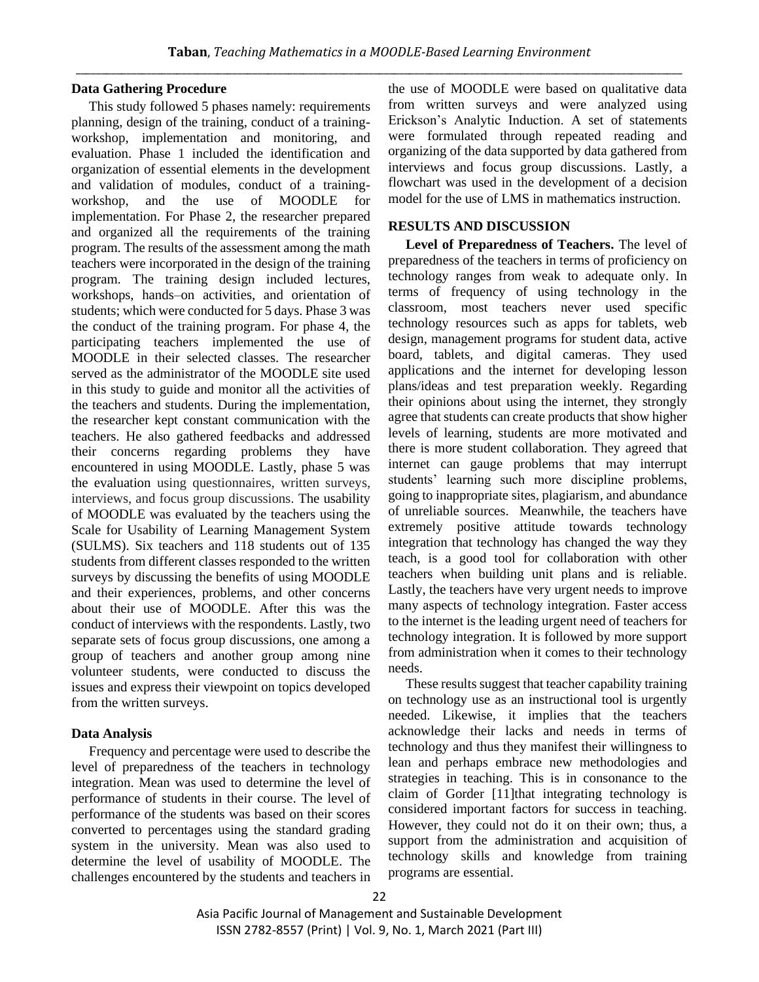## **Data Gathering Procedure**

This study followed 5 phases namely: requirements planning, design of the training, conduct of a trainingworkshop, implementation and monitoring, and evaluation. Phase 1 included the identification and organization of essential elements in the development and validation of modules, conduct of a trainingworkshop, and the use of MOODLE for implementation. For Phase 2, the researcher prepared and organized all the requirements of the training program. The results of the assessment among the math teachers were incorporated in the design of the training program. The training design included lectures, workshops, hands–on activities, and orientation of students; which were conducted for 5 days. Phase 3 was the conduct of the training program. For phase 4, the participating teachers implemented the use of MOODLE in their selected classes. The researcher served as the administrator of the MOODLE site used in this study to guide and monitor all the activities of the teachers and students. During the implementation, the researcher kept constant communication with the teachers. He also gathered feedbacks and addressed their concerns regarding problems they have encountered in using MOODLE. Lastly, phase 5 was the evaluation using questionnaires, written surveys, interviews, and focus group discussions. The usability of MOODLE was evaluated by the teachers using the Scale for Usability of Learning Management System (SULMS). Six teachers and 118 students out of 135 students from different classes responded to the written surveys by discussing the benefits of using MOODLE and their experiences, problems, and other concerns about their use of MOODLE. After this was the conduct of interviews with the respondents. Lastly, two separate sets of focus group discussions, one among a group of teachers and another group among nine volunteer students, were conducted to discuss the issues and express their viewpoint on topics developed from the written surveys.

# **Data Analysis**

Frequency and percentage were used to describe the level of preparedness of the teachers in technology integration. Mean was used to determine the level of performance of students in their course. The level of performance of the students was based on their scores converted to percentages using the standard grading system in the university. Mean was also used to determine the level of usability of MOODLE. The challenges encountered by the students and teachers in the use of MOODLE were based on qualitative data from written surveys and were analyzed using Erickson's Analytic Induction. A set of statements were formulated through repeated reading and organizing of the data supported by data gathered from interviews and focus group discussions. Lastly, a flowchart was used in the development of a decision model for the use of LMS in mathematics instruction.

# **RESULTS AND DISCUSSION**

**Level of Preparedness of Teachers.** The level of preparedness of the teachers in terms of proficiency on technology ranges from weak to adequate only. In terms of frequency of using technology in the classroom, most teachers never used specific technology resources such as apps for tablets, web design, management programs for student data, active board, tablets, and digital cameras. They used applications and the internet for developing lesson plans/ideas and test preparation weekly. Regarding their opinions about using the internet, they strongly agree that students can create products that show higher levels of learning, students are more motivated and there is more student collaboration. They agreed that internet can gauge problems that may interrupt students' learning such more discipline problems, going to inappropriate sites, plagiarism, and abundance of unreliable sources. Meanwhile, the teachers have extremely positive attitude towards technology integration that technology has changed the way they teach, is a good tool for collaboration with other teachers when building unit plans and is reliable. Lastly, the teachers have very urgent needs to improve many aspects of technology integration. Faster access to the internet is the leading urgent need of teachers for technology integration. It is followed by more support from administration when it comes to their technology needs.

These results suggest that teacher capability training on technology use as an instructional tool is urgently needed. Likewise, it implies that the teachers acknowledge their lacks and needs in terms of technology and thus they manifest their willingness to lean and perhaps embrace new methodologies and strategies in teaching. This is in consonance to the claim of Gorder [11]that integrating technology is considered important factors for success in teaching. However, they could not do it on their own; thus, a support from the administration and acquisition of technology skills and knowledge from training programs are essential.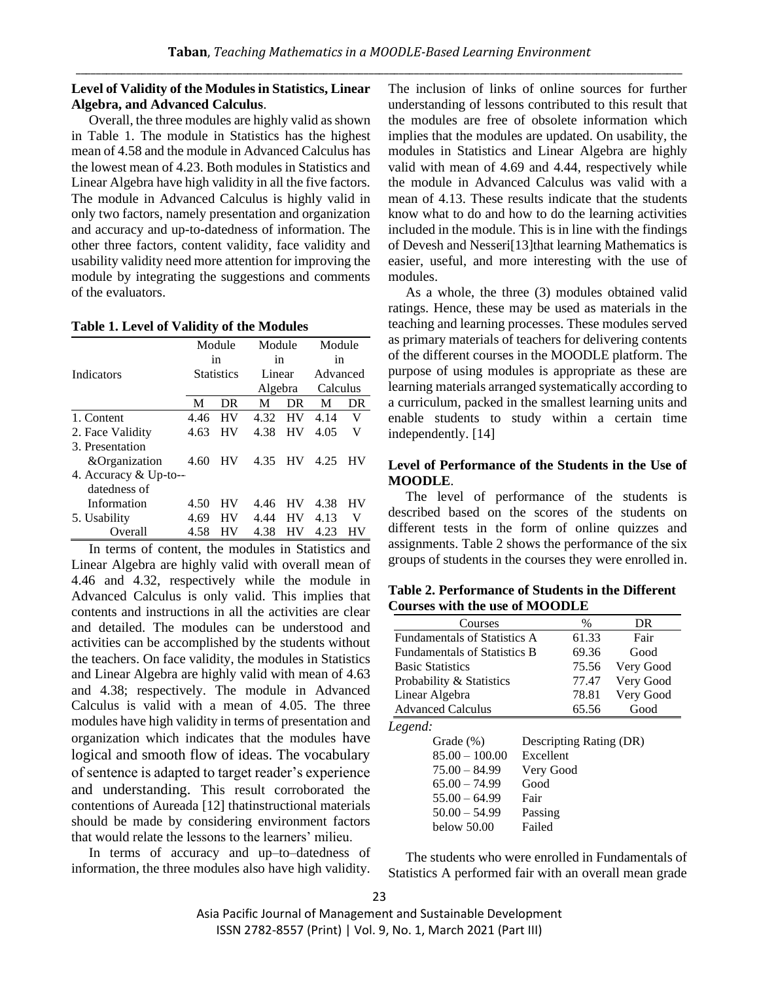# **Level of Validity of the Modules in Statistics, Linear Algebra, and Advanced Calculus**.

Overall, the three modules are highly valid as shown in Table 1. The module in Statistics has the highest mean of 4.58 and the module in Advanced Calculus has the lowest mean of 4.23. Both modules in Statistics and Linear Algebra have high validity in all the five factors. The module in Advanced Calculus is highly valid in only two factors, namely presentation and organization and accuracy and up-to-datedness of information. The other three factors, content validity, face validity and usability validity need more attention for improving the module by integrating the suggestions and comments of the evaluators.

|                       | Module     |    | Module  |    | Module   |    |
|-----------------------|------------|----|---------|----|----------|----|
|                       | in         |    | in      |    | in       |    |
| Indicators            | Statistics |    | Linear  |    | Advanced |    |
|                       |            |    | Algebra |    | Calculus |    |
|                       | M          | DR | М       | DR | М        | DR |
| 1. Content            | 4.46       | HV | 4.32    | HV | 4.14     | V  |
| 2. Face Validity      | 4.63       | HV | 4.38    | HV | 4.05     | V  |
| 3. Presentation       |            |    |         |    |          |    |
| &Organization         | 4.60       | HV | 4.35    | HV | 4.25     | НV |
| 4. Accuracy & Up-to-- |            |    |         |    |          |    |
| datedness of          |            |    |         |    |          |    |
| Information           | 4.50       | НV | 4.46    | НV | 4.38     | НV |
| 5. Usability          | 4.69       | HV | 4.44    | HV | 4.13     | V  |
| Overall               | 4.58       | НV | 4.38    | НV | 4.23     |    |

In terms of content, the modules in Statistics and Linear Algebra are highly valid with overall mean of 4.46 and 4.32, respectively while the module in Advanced Calculus is only valid. This implies that contents and instructions in all the activities are clear and detailed. The modules can be understood and activities can be accomplished by the students without the teachers. On face validity, the modules in Statistics and Linear Algebra are highly valid with mean of 4.63 and 4.38; respectively. The module in Advanced Calculus is valid with a mean of 4.05. The three modules have high validity in terms of presentation and organization which indicates that the modules have logical and smooth flow of ideas. The vocabulary of sentence is adapted to target reader's experience and understanding. This result corroborated the contentions of Aureada [12] thatinstructional materials should be made by considering environment factors that would relate the lessons to the learners' milieu.

In terms of accuracy and up–to–datedness of information, the three modules also have high validity. The inclusion of links of online sources for further understanding of lessons contributed to this result that the modules are free of obsolete information which implies that the modules are updated. On usability, the modules in Statistics and Linear Algebra are highly valid with mean of 4.69 and 4.44, respectively while the module in Advanced Calculus was valid with a mean of 4.13. These results indicate that the students know what to do and how to do the learning activities included in the module. This is in line with the findings of Devesh and Nesseri[13]that learning Mathematics is easier, useful, and more interesting with the use of modules.

As a whole, the three (3) modules obtained valid ratings. Hence, these may be used as materials in the teaching and learning processes. These modules served as primary materials of teachers for delivering contents of the different courses in the MOODLE platform. The purpose of using modules is appropriate as these are learning materials arranged systematically according to a curriculum, packed in the smallest learning units and enable students to study within a certain time independently. [14]

# **Level of Performance of the Students in the Use of MOODLE**.

The level of performance of the students is described based on the scores of the students on different tests in the form of online quizzes and assignments. Table 2 shows the performance of the six groups of students in the courses they were enrolled in.

**Table 2. Performance of Students in the Different Courses with the use of MOODLE**

| Courses                                 | $\%$  | DR        |
|-----------------------------------------|-------|-----------|
| <b>Fundamentals of Statistics A</b>     | 61.33 | Fair      |
| <b>Fundamentals of Statistics B</b>     | 69.36 | Good      |
| <b>Basic Statistics</b>                 | 75.56 | Very Good |
| Probability & Statistics                | 77.47 | Very Good |
| Linear Algebra                          | 78.81 | Very Good |
| <b>Advanced Calculus</b>                | 65.56 | Good      |
| Legend:                                 |       |           |
| Grade $(\%)$<br>Descripting Rating (DR) |       |           |

| $85.00 - 100.00$ | Excellent |
|------------------|-----------|
| $75.00 - 84.99$  | Very Good |
| $65.00 - 74.99$  | Good      |
| $55.00 - 64.99$  | Fair      |
| $50.00 - 54.99$  | Passing   |
| below 50.00      | Failed    |

The students who were enrolled in Fundamentals of Statistics A performed fair with an overall mean grade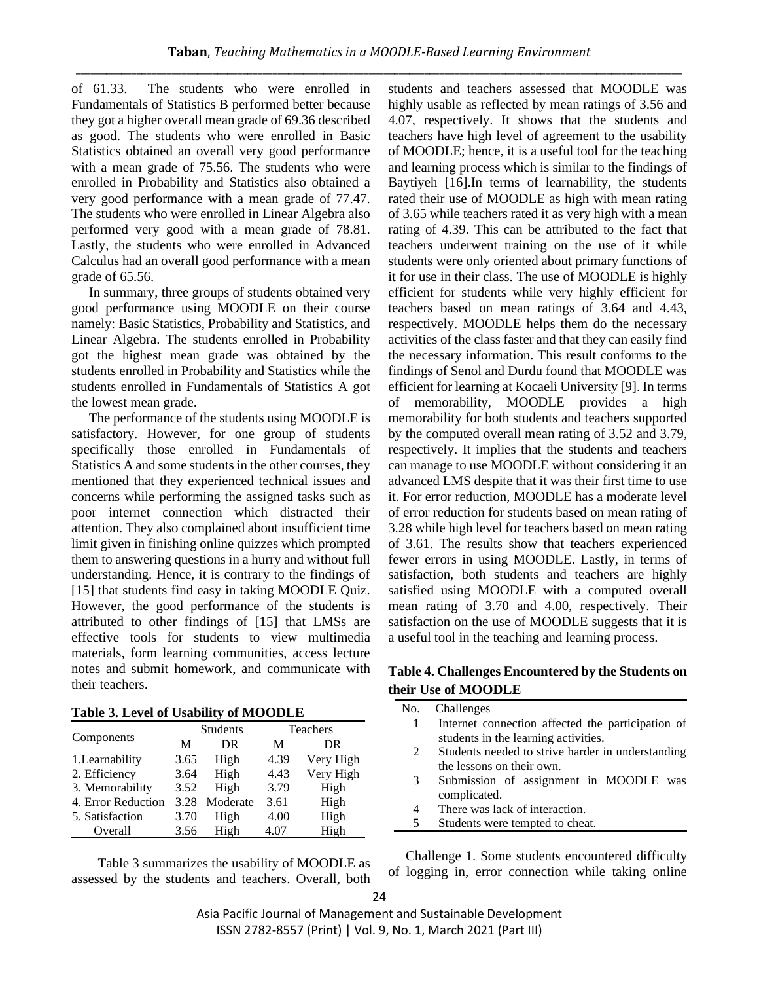of 61.33. The students who were enrolled in Fundamentals of Statistics B performed better because they got a higher overall mean grade of 69.36 described as good. The students who were enrolled in Basic Statistics obtained an overall very good performance with a mean grade of 75.56. The students who were enrolled in Probability and Statistics also obtained a very good performance with a mean grade of 77.47. The students who were enrolled in Linear Algebra also performed very good with a mean grade of 78.81. Lastly, the students who were enrolled in Advanced Calculus had an overall good performance with a mean grade of 65.56.

In summary, three groups of students obtained very good performance using MOODLE on their course namely: Basic Statistics, Probability and Statistics, and Linear Algebra. The students enrolled in Probability got the highest mean grade was obtained by the students enrolled in Probability and Statistics while the students enrolled in Fundamentals of Statistics A got the lowest mean grade.

The performance of the students using MOODLE is satisfactory. However, for one group of students specifically those enrolled in Fundamentals of Statistics A and some students in the other courses, they mentioned that they experienced technical issues and concerns while performing the assigned tasks such as poor internet connection which distracted their attention. They also complained about insufficient time limit given in finishing online quizzes which prompted them to answering questions in a hurry and without full understanding. Hence, it is contrary to the findings of [15] that students find easy in taking MOODLE Quiz. However, the good performance of the students is attributed to other findings of [15] that LMSs are effective tools for students to view multimedia materials, form learning communities, access lecture notes and submit homework, and communicate with their teachers.

| Table 3. Level of Usability of MOODLE |  |
|---------------------------------------|--|
|---------------------------------------|--|

|                    | Students |          | Teachers |           |  |
|--------------------|----------|----------|----------|-----------|--|
| Components         | М        | DR       | M        | DR        |  |
| 1. Learnability    | 3.65     | High     | 4.39     | Very High |  |
| 2. Efficiency      | 3.64     | High     | 4.43     | Very High |  |
| 3. Memorability    | 3.52     | High     | 3.79     | High      |  |
| 4. Error Reduction | 3.28     | Moderate | 3.61     | High      |  |
| 5. Satisfaction    | 3.70     | High     | 4.00     | High      |  |
| Overall            | 3.56     | High     | 4.07     | High      |  |

Table 3 summarizes the usability of MOODLE as assessed by the students and teachers. Overall, both students and teachers assessed that MOODLE was highly usable as reflected by mean ratings of 3.56 and 4.07, respectively. It shows that the students and teachers have high level of agreement to the usability of MOODLE; hence, it is a useful tool for the teaching and learning process which is similar to the findings of Baytiyeh [16].In terms of learnability, the students rated their use of MOODLE as high with mean rating of 3.65 while teachers rated it as very high with a mean rating of 4.39. This can be attributed to the fact that teachers underwent training on the use of it while students were only oriented about primary functions of it for use in their class. The use of MOODLE is highly efficient for students while very highly efficient for teachers based on mean ratings of 3.64 and 4.43, respectively. MOODLE helps them do the necessary activities of the class faster and that they can easily find the necessary information. This result conforms to the findings of Senol and Durdu found that MOODLE was efficient for learning at Kocaeli University [9]. In terms of memorability, MOODLE provides a high memorability for both students and teachers supported by the computed overall mean rating of 3.52 and 3.79, respectively. It implies that the students and teachers can manage to use MOODLE without considering it an advanced LMS despite that it was their first time to use it. For error reduction, MOODLE has a moderate level of error reduction for students based on mean rating of 3.28 while high level for teachers based on mean rating of 3.61. The results show that teachers experienced fewer errors in using MOODLE. Lastly, in terms of satisfaction, both students and teachers are highly satisfied using MOODLE with a computed overall mean rating of 3.70 and 4.00, respectively. Their satisfaction on the use of MOODLE suggests that it is a useful tool in the teaching and learning process.

# **Table 4. Challenges Encountered by the Students on their Use of MOODLE**

| No. | Challenges                                        |
|-----|---------------------------------------------------|
| 1   | Internet connection affected the participation of |
|     | students in the learning activities.              |
| 2   | Students needed to strive harder in understanding |
|     | the lessons on their own.                         |
| 3   | Submission of assignment in MOODLE was            |
|     | complicated.                                      |
| 4   | There was lack of interaction.                    |
| 5   | Students were tempted to cheat.                   |
|     |                                                   |

Challenge 1. Some students encountered difficulty of logging in, error connection while taking online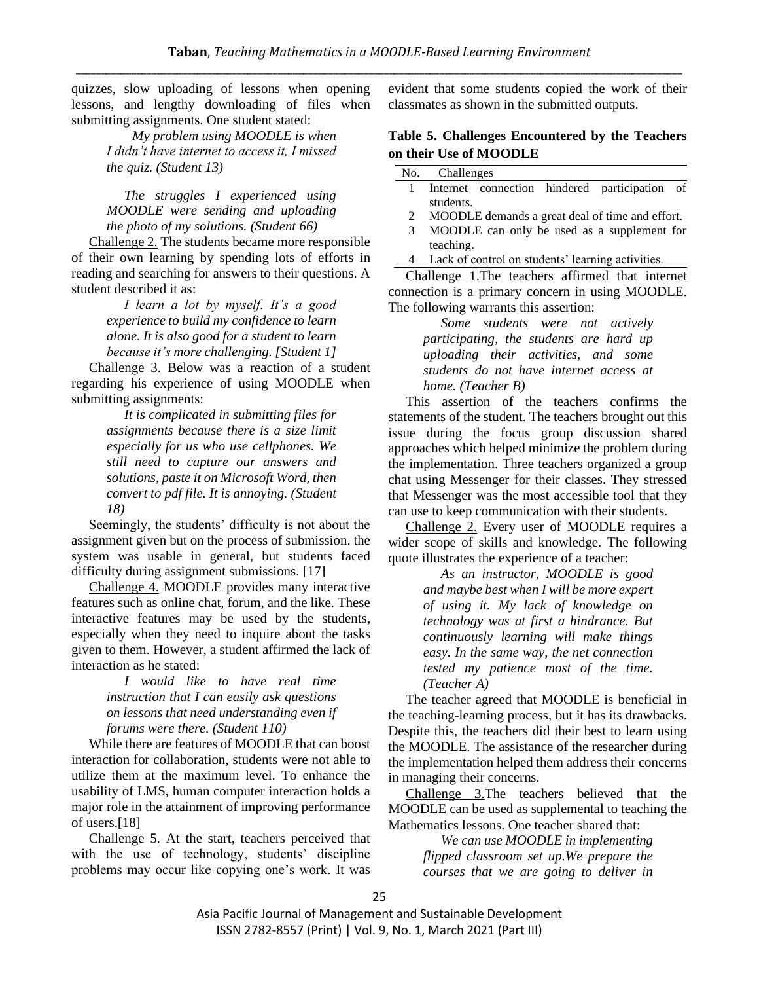quizzes, slow uploading of lessons when opening lessons, and lengthy downloading of files when submitting assignments. One student stated:

> *My problem using MOODLE is when I didn't have internet to access it, I missed the quiz. (Student 13)*

> *The struggles I experienced using MOODLE were sending and uploading the photo of my solutions. (Student 66)*

Challenge 2. The students became more responsible of their own learning by spending lots of efforts in reading and searching for answers to their questions. A student described it as:

> *I learn a lot by myself. It's a good experience to build my confidence to learn alone. It is also good for a student to learn because it's more challenging. [Student 1]*

Challenge 3. Below was a reaction of a student regarding his experience of using MOODLE when submitting assignments:

> *It is complicated in submitting files for assignments because there is a size limit especially for us who use cellphones. We still need to capture our answers and solutions, paste it on Microsoft Word, then convert to pdf file. It is annoying. (Student 18)*

Seemingly, the students' difficulty is not about the assignment given but on the process of submission. the system was usable in general, but students faced difficulty during assignment submissions. [17]

Challenge 4. MOODLE provides many interactive features such as online chat, forum, and the like. These interactive features may be used by the students, especially when they need to inquire about the tasks given to them. However, a student affirmed the lack of interaction as he stated:

> *I would like to have real time instruction that I can easily ask questions on lessons that need understanding even if forums were there. (Student 110)*

While there are features of MOODLE that can boost interaction for collaboration, students were not able to utilize them at the maximum level. To enhance the usability of LMS, human computer interaction holds a major role in the attainment of improving performance of users.[18]

Challenge 5. At the start, teachers perceived that with the use of technology, students' discipline problems may occur like copying one's work. It was evident that some students copied the work of their classmates as shown in the submitted outputs.

# **Table 5. Challenges Encountered by the Teachers on their Use of MOODLE**

#### No. Challenges

- 1 Internet connection hindered participation of students.
- 2 MOODLE demands a great deal of time and effort.
- 3 MOODLE can only be used as a supplement for teaching.
- 4 Lack of control on students' learning activities.

Challenge 1.The teachers affirmed that internet connection is a primary concern in using MOODLE. The following warrants this assertion:

> *Some students were not actively participating, the students are hard up uploading their activities, and some students do not have internet access at home. (Teacher B)*

This assertion of the teachers confirms the statements of the student. The teachers brought out this issue during the focus group discussion shared approaches which helped minimize the problem during the implementation. Three teachers organized a group chat using Messenger for their classes. They stressed that Messenger was the most accessible tool that they can use to keep communication with their students.

Challenge 2. Every user of MOODLE requires a wider scope of skills and knowledge. The following quote illustrates the experience of a teacher:

> *As an instructor, MOODLE is good and maybe best when I will be more expert of using it. My lack of knowledge on technology was at first a hindrance. But continuously learning will make things easy. In the same way, the net connection tested my patience most of the time. (Teacher A)*

The teacher agreed that MOODLE is beneficial in the teaching-learning process, but it has its drawbacks. Despite this, the teachers did their best to learn using the MOODLE. The assistance of the researcher during the implementation helped them address their concerns in managing their concerns.

Challenge 3.The teachers believed that the MOODLE can be used as supplemental to teaching the Mathematics lessons. One teacher shared that:

> *We can use MOODLE in implementing flipped classroom set up.We prepare the courses that we are going to deliver in*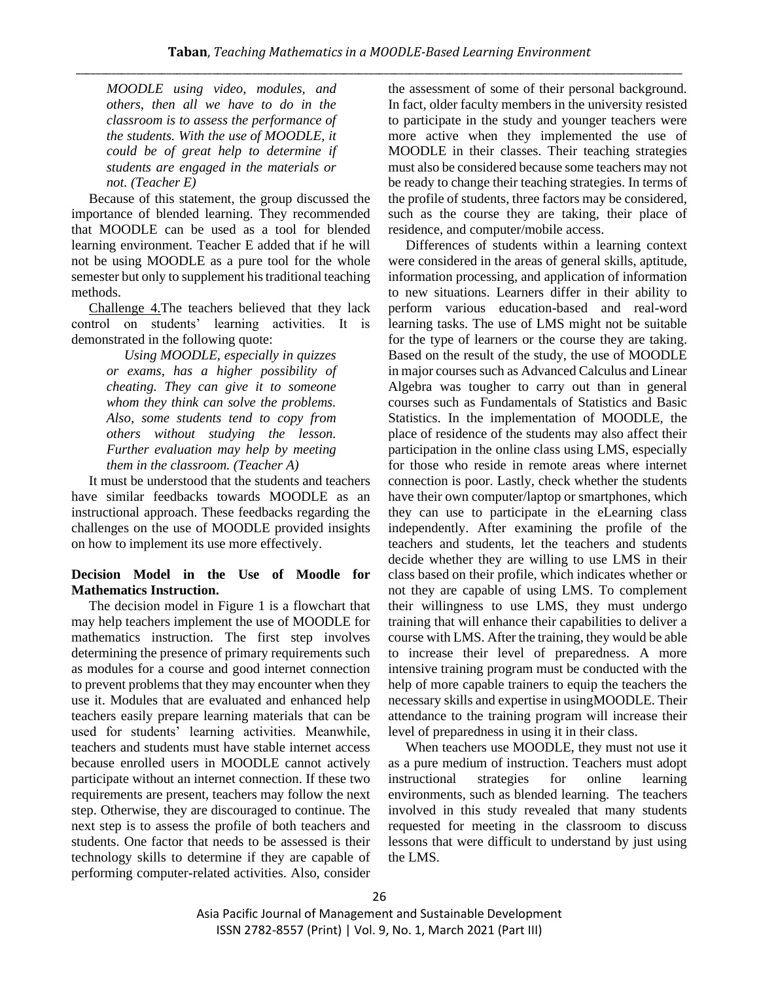*MOODLE using video, modules, and others, then all we have to do in the classroom is to assess the performance of the students. With the use of MOODLE, it could be of great help to determine if students are engaged in the materials or not. (Teacher E)*

Because of this statement, the group discussed the importance of blended learning. They recommended that MOODLE can be used as a tool for blended learning environment. Teacher E added that if he will not be using MOODLE as a pure tool for the whole semester but only to supplement his traditional teaching methods.

Challenge 4.The teachers believed that they lack control on students' learning activities. It is demonstrated in the following quote:

> *Using MOODLE, especially in quizzes or exams, has a higher possibility of cheating. They can give it to someone whom they think can solve the problems. Also, some students tend to copy from others without studying the lesson. Further evaluation may help by meeting them in the classroom. (Teacher A)*

It must be understood that the students and teachers have similar feedbacks towards MOODLE as an instructional approach. These feedbacks regarding the challenges on the use of MOODLE provided insights on how to implement its use more effectively.

# **Decision Model in the Use of Moodle for Mathematics Instruction.**

The decision model in Figure 1 is a flowchart that may help teachers implement the use of MOODLE for mathematics instruction. The first step involves determining the presence of primary requirements such as modules for a course and good internet connection to prevent problems that they may encounter when they use it. Modules that are evaluated and enhanced help teachers easily prepare learning materials that can be used for students' learning activities. Meanwhile, teachers and students must have stable internet access because enrolled users in MOODLE cannot actively participate without an internet connection. If these two requirements are present, teachers may follow the next step. Otherwise, they are discouraged to continue. The next step is to assess the profile of both teachers and students. One factor that needs to be assessed is their technology skills to determine if they are capable of performing computer-related activities. Also, consider the assessment of some of their personal background. In fact, older faculty members in the university resisted to participate in the study and younger teachers were more active when they implemented the use of MOODLE in their classes. Their teaching strategies must also be considered because some teachers may not be ready to change their teaching strategies. In terms of the profile of students, three factors may be considered, such as the course they are taking, their place of residence, and computer/mobile access.

Differences of students within a learning context were considered in the areas of general skills, aptitude, information processing, and application of information to new situations. Learners differ in their ability to perform various education-based and real-word learning tasks. The use of LMS might not be suitable for the type of learners or the course they are taking. Based on the result of the study, the use of MOODLE in major courses such as Advanced Calculus and Linear Algebra was tougher to carry out than in general courses such as Fundamentals of Statistics and Basic Statistics. In the implementation of MOODLE, the place of residence of the students may also affect their participation in the online class using LMS, especially for those who reside in remote areas where internet connection is poor. Lastly, check whether the students have their own computer/laptop or smartphones, which they can use to participate in the eLearning class independently. After examining the profile of the teachers and students, let the teachers and students decide whether they are willing to use LMS in their class based on their profile, which indicates whether or not they are capable of using LMS. To complement their willingness to use LMS, they must undergo training that will enhance their capabilities to deliver a course with LMS. After the training, they would be able to increase their level of preparedness. A more intensive training program must be conducted with the help of more capable trainers to equip the teachers the necessary skills and expertise in usingMOODLE. Their attendance to the training program will increase their level of preparedness in using it in their class.

When teachers use MOODLE, they must not use it as a pure medium of instruction. Teachers must adopt instructional strategies for online learning environments, such as blended learning. The teachers involved in this study revealed that many students requested for meeting in the classroom to discuss lessons that were difficult to understand by just using the LMS.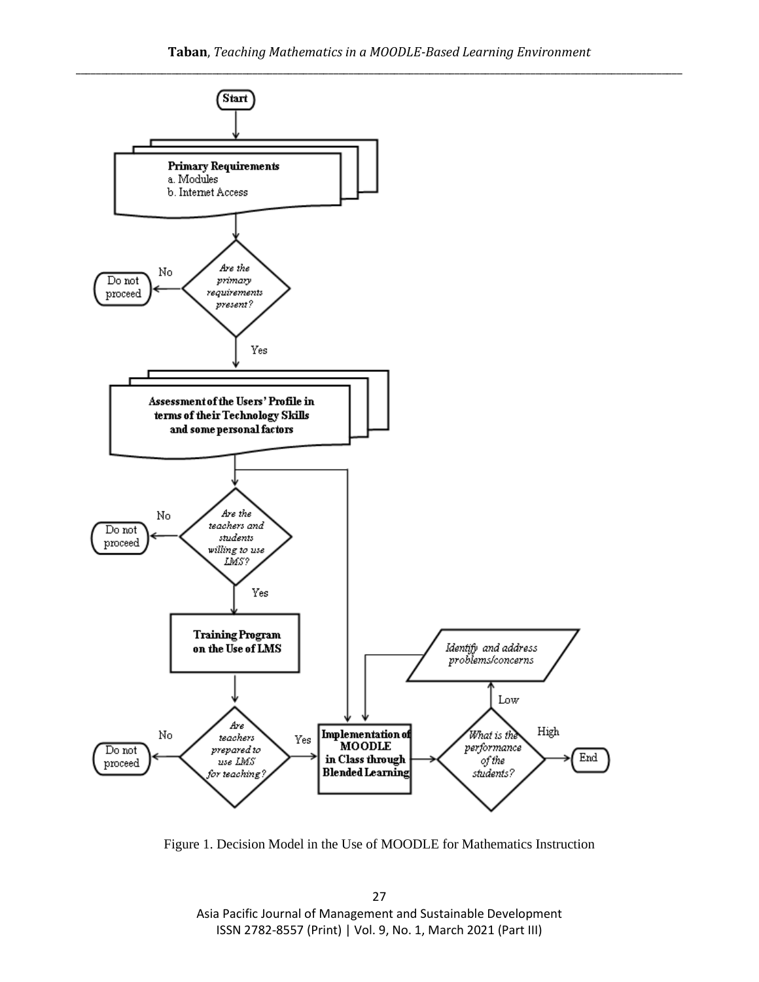

Figure 1. Decision Model in the Use of MOODLE for Mathematics Instruction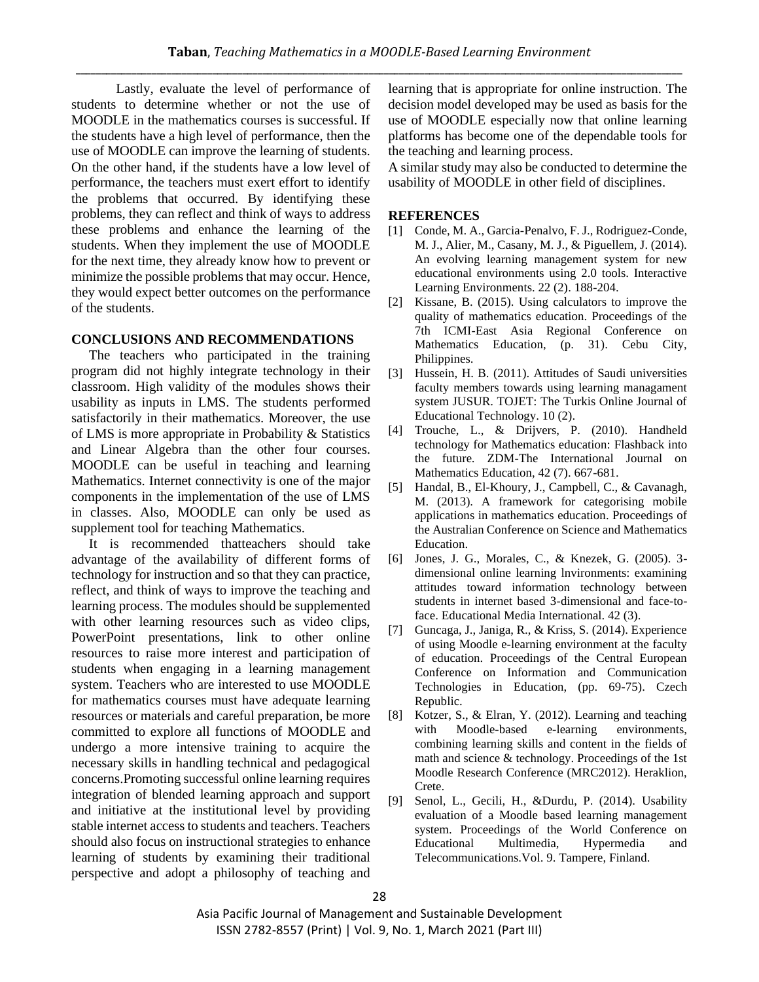Lastly, evaluate the level of performance of students to determine whether or not the use of MOODLE in the mathematics courses is successful. If the students have a high level of performance, then the use of MOODLE can improve the learning of students. On the other hand, if the students have a low level of performance, the teachers must exert effort to identify the problems that occurred. By identifying these problems, they can reflect and think of ways to address these problems and enhance the learning of the students. When they implement the use of MOODLE for the next time, they already know how to prevent or minimize the possible problems that may occur. Hence, they would expect better outcomes on the performance of the students.

## **CONCLUSIONS AND RECOMMENDATIONS**

The teachers who participated in the training program did not highly integrate technology in their classroom. High validity of the modules shows their usability as inputs in LMS. The students performed satisfactorily in their mathematics. Moreover, the use of LMS is more appropriate in Probability & Statistics and Linear Algebra than the other four courses. MOODLE can be useful in teaching and learning Mathematics. Internet connectivity is one of the major components in the implementation of the use of LMS in classes. Also, MOODLE can only be used as supplement tool for teaching Mathematics.

It is recommended thatteachers should take advantage of the availability of different forms of technology for instruction and so that they can practice, reflect, and think of ways to improve the teaching and learning process. The modules should be supplemented with other learning resources such as video clips, PowerPoint presentations, link to other online resources to raise more interest and participation of students when engaging in a learning management system. Teachers who are interested to use MOODLE for mathematics courses must have adequate learning resources or materials and careful preparation, be more committed to explore all functions of MOODLE and undergo a more intensive training to acquire the necessary skills in handling technical and pedagogical concerns.Promoting successful online learning requires integration of blended learning approach and support and initiative at the institutional level by providing stable internet access to students and teachers. Teachers should also focus on instructional strategies to enhance learning of students by examining their traditional perspective and adopt a philosophy of teaching and learning that is appropriate for online instruction. The decision model developed may be used as basis for the use of MOODLE especially now that online learning platforms has become one of the dependable tools for the teaching and learning process.

A similar study may also be conducted to determine the usability of MOODLE in other field of disciplines.

## **REFERENCES**

- [1] Conde, M. A., Garcia-Penalvo, F. J., Rodriguez-Conde, M. J., Alier, M., Casany, M. J., & Piguellem, J. (2014). An evolving learning management system for new educational environments using 2.0 tools. Interactive Learning Environments. 22 (2). 188-204.
- [2] Kissane, B. (2015). Using calculators to improve the quality of mathematics education. Proceedings of the 7th ICMI-East Asia Regional Conference on Mathematics Education, (p. 31). Cebu City, Philippines.
- [3] Hussein, H. B. (2011). Attitudes of Saudi universities faculty members towards using learning managament system JUSUR. TOJET: The Turkis Online Journal of Educational Technology. 10 (2).
- [4] Trouche, L., & Drijvers, P. (2010). Handheld technology for Mathematics education: Flashback into the future. ZDM-The International Journal on Mathematics Education, 42 (7). 667-681.
- [5] Handal, B., El-Khoury, J., Campbell, C., & Cavanagh, M. (2013). A framework for categorising mobile applications in mathematics education. Proceedings of the Australian Conference on Science and Mathematics Education.
- [6] Jones, J. G., Morales, C., & Knezek, G. (2005). 3 dimensional online learning lnvironments: examining attitudes toward information technology between students in internet based 3-dimensional and face-toface. Educational Media International. 42 (3).
- [7] Guncaga, J., Janiga, R., & Kriss, S. (2014). Experience of using Moodle e-learning environment at the faculty of education. Proceedings of the Central European Conference on Information and Communication Technologies in Education, (pp. 69-75). Czech Republic.
- [8] Kotzer, S., & Elran, Y. (2012). Learning and teaching with Moodle-based e-learning environments, combining learning skills and content in the fields of math and science & technology. Proceedings of the 1st Moodle Research Conference (MRC2012). Heraklion, Crete.
- [9] Senol, L., Gecili, H., &Durdu, P. (2014). Usability evaluation of a Moodle based learning management system. Proceedings of the World Conference on Educational Multimedia, Hypermedia and Telecommunications.Vol. 9. Tampere, Finland.